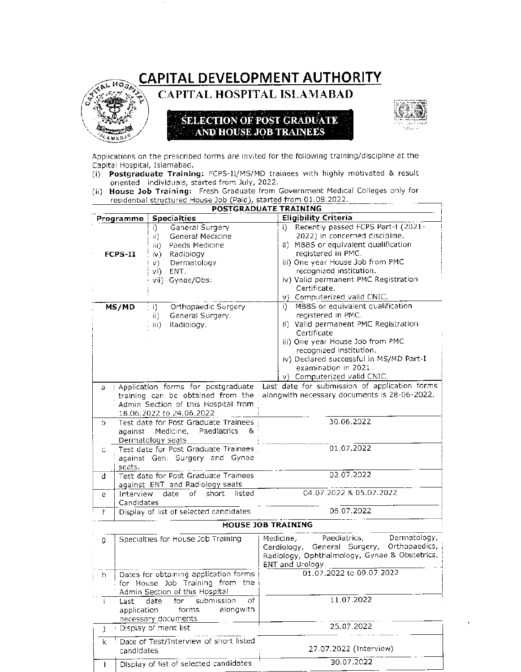## CAPITAL DEVELOPMENT AUTHORITY



**CAPITAL HOSPITAL ISLAMABAD** 

## **SELECTION OF POST GRADUATE** AND HOUSE JOB TRAINEES



Applications on the prescribed forms are invited for the following training/discipline at the Capital Hospital, Islamabad.

- (i) Postgraduate Training: FCPS-11/MS/MD trainees with highly motivated & result oriented individuals, started from July, 2022.
- (ii) House Job Training: Fresh Graduate from Government Medical Colleges only for residential structured House Job (Paid), started from 01.08.2022.

| <b>POSTGRADUATE TRAINING</b> |                                                                                                                                                                                                                                             |                                                                                                                                                                                                                                                                                                                                                                                    |
|------------------------------|---------------------------------------------------------------------------------------------------------------------------------------------------------------------------------------------------------------------------------------------|------------------------------------------------------------------------------------------------------------------------------------------------------------------------------------------------------------------------------------------------------------------------------------------------------------------------------------------------------------------------------------|
| Programme                    | <b>Specialties</b>                                                                                                                                                                                                                          | <b>Eligibility Criteria</b>                                                                                                                                                                                                                                                                                                                                                        |
| <b>FCPS-II</b>               | General Surgery<br>i).<br>Genera! Medicine<br>ii).<br>Paeds Medicine<br>iii)<br>iv).<br>Radiology<br>Dermatology<br>v)<br>vi)<br>ENT.<br>vii) Gynae/Obs:                                                                                    | i) Recently passed FCPS Part-I (2021-<br>2022) in concerned discipline.<br>ii) MBBS or equivalent qualification<br>registered in PMC.<br>iii) One year House Job from PMC<br>recognized institution.<br>iv) Valid permanent PMC Registration<br>Certificate.<br>v) Computerized valid CNIC.                                                                                        |
| MS/MD<br>a.                  | Orthopaedic Surgery<br>$\left( \begin{array}{c} 1 \end{array} \right)$<br>General Surgery.<br>ii)<br>iii)<br>Radiology.<br>: Application forms for postgraduate<br>training can be obtained from the<br>Admin Section of this Hospital from | i) MBBS or equivalent qualification<br>registered in PMC.<br>ii) Valid permanent PMC Registration<br>Certificate<br>iii) One year House Job from PMC<br>recognized institution.<br>iv) Declared successful in MS/MD Part-I<br>examination in 2021.<br>v) Computerized valid CNIC.<br>Last date for submission of application forms<br>alongwith necessary documents is 28-06-2022. |
| b.                           | 18.06.2022 to 24.06.2022<br>Test date for Post Graduate Trainees<br>against Medicine, Paediatrics<br>8.<br>Dermatology seats                                                                                                                | 30.06.2022                                                                                                                                                                                                                                                                                                                                                                         |
| C.<br>seats.                 | Test date for Post Graduate Trainees<br>against Gen. Surgery and Gynae                                                                                                                                                                      | 01.07.2022                                                                                                                                                                                                                                                                                                                                                                         |
| đ                            | Test date for Post Graduate Trainees<br>against ENT and Radiology seats                                                                                                                                                                     | 02.07.2022                                                                                                                                                                                                                                                                                                                                                                         |
| Interview<br>e<br>Candidates | of short<br>listed<br>date                                                                                                                                                                                                                  | 04.07.2022 & 05.07.2022                                                                                                                                                                                                                                                                                                                                                            |
| f                            | Display of list of selected candidates                                                                                                                                                                                                      | 06.07.2022                                                                                                                                                                                                                                                                                                                                                                         |

## **HOUSE JOB TRAINING**

| g   | Specialties for House Job Training                                                                         | Dermatology,<br>Paediatrics,<br>Medicine,<br>Cardiology, General Surgery, Orthopaedics,<br>Radiology, Ophthalmology, Gynae & Obstetrics,<br>ENT and Urology. |
|-----|------------------------------------------------------------------------------------------------------------|--------------------------------------------------------------------------------------------------------------------------------------------------------------|
| - h | Dates for obtaining application forms<br>for House Job Training from the<br>Admin Section of this Hospital | 01.07.2022 to 09.07.2022                                                                                                                                     |
|     | of<br>Last date for submission<br>alongwith<br>application forms<br>necessary documents                    | 11.07.2022                                                                                                                                                   |
|     | Display of merit list                                                                                      | 25.07.2022                                                                                                                                                   |
|     | k <sup>1</sup> Date of Test/Interview of short listed<br>candidates                                        | 27.07.2022 (Interview)                                                                                                                                       |
|     | Display of list of selected candidates                                                                     | 30.07.2022                                                                                                                                                   |